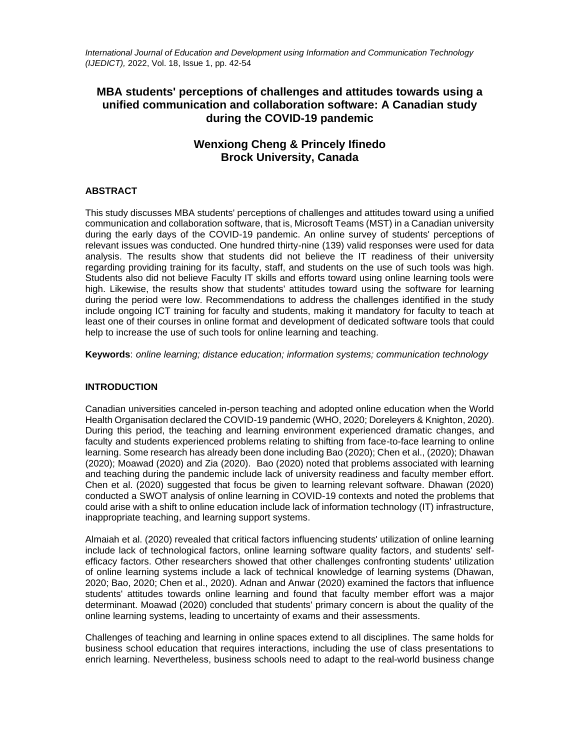*International Journal of Education and Development using Information and Communication Technology (IJEDICT),* 2022, Vol. 18, Issue 1, pp. 42-54

# **MBA students' perceptions of challenges and attitudes towards using a unified communication and collaboration software: A Canadian study during the COVID-19 pandemic**

# **Wenxiong Cheng & Princely Ifinedo Brock University, Canada**

# **ABSTRACT**

This study discusses MBA students' perceptions of challenges and attitudes toward using a unified communication and collaboration software, that is, Microsoft Teams (MST) in a Canadian university during the early days of the COVID-19 pandemic. An online survey of students' perceptions of relevant issues was conducted. One hundred thirty-nine (139) valid responses were used for data analysis. The results show that students did not believe the IT readiness of their university regarding providing training for its faculty, staff, and students on the use of such tools was high. Students also did not believe Faculty IT skills and efforts toward using online learning tools were high. Likewise, the results show that students' attitudes toward using the software for learning during the period were low. Recommendations to address the challenges identified in the study include ongoing ICT training for faculty and students, making it mandatory for faculty to teach at least one of their courses in online format and development of dedicated software tools that could help to increase the use of such tools for online learning and teaching.

**Keywords**: *online learning; distance education; information systems; communication technology*

# **INTRODUCTION**

Canadian universities canceled in-person teaching and adopted online education when the World Health Organisation declared the COVID-19 pandemic (WHO, 2020; Doreleyers & Knighton, 2020). During this period, the teaching and learning environment experienced dramatic changes, and faculty and students experienced problems relating to shifting from face-to-face learning to online learning. Some research has already been done including Bao (2020); Chen et al., (2020); Dhawan (2020); Moawad (2020) and Zia (2020). Bao (2020) noted that problems associated with learning and teaching during the pandemic include lack of university readiness and faculty member effort. Chen et al. (2020) suggested that focus be given to learning relevant software. Dhawan (2020) conducted a SWOT analysis of online learning in COVID-19 contexts and noted the problems that could arise with a shift to online education include lack of information technology (IT) infrastructure, inappropriate teaching, and learning support systems.

Almaiah et al. (2020) revealed that critical factors influencing students' utilization of online learning include lack of technological factors, online learning software quality factors, and students' selfefficacy factors. Other researchers showed that other challenges confronting students' utilization of online learning systems include a lack of technical knowledge of learning systems (Dhawan, 2020; Bao, 2020; Chen et al., 2020). Adnan and Anwar (2020) examined the factors that influence students' attitudes towards online learning and found that faculty member effort was a major determinant. Moawad (2020) concluded that students' primary concern is about the quality of the online learning systems, leading to uncertainty of exams and their assessments.

Challenges of teaching and learning in online spaces extend to all disciplines. The same holds for business school education that requires interactions, including the use of class presentations to enrich learning. Nevertheless, business schools need to adapt to the real-world business change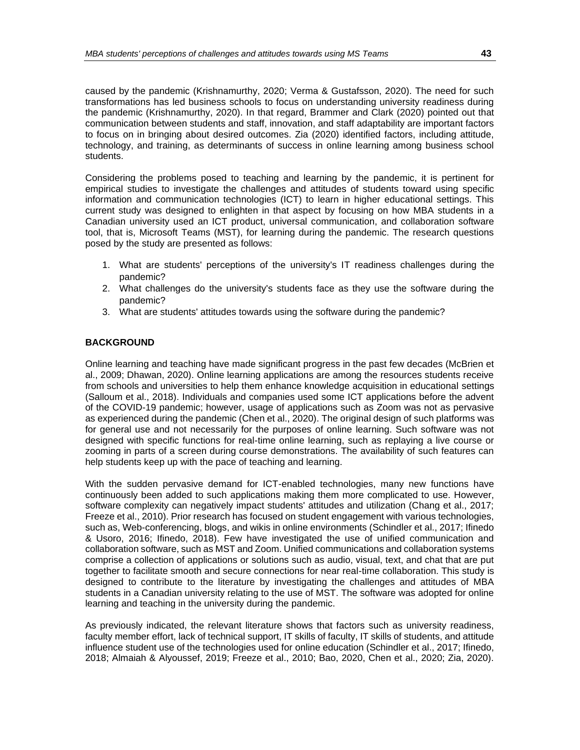caused by the pandemic (Krishnamurthy, 2020; Verma & Gustafsson, 2020). The need for such transformations has led business schools to focus on understanding university readiness during the pandemic (Krishnamurthy, 2020). In that regard, Brammer and Clark (2020) pointed out that communication between students and staff, innovation, and staff adaptability are important factors to focus on in bringing about desired outcomes. Zia (2020) identified factors, including attitude, technology, and training, as determinants of success in online learning among business school students.

Considering the problems posed to teaching and learning by the pandemic, it is pertinent for empirical studies to investigate the challenges and attitudes of students toward using specific information and communication technologies (ICT) to learn in higher educational settings. This current study was designed to enlighten in that aspect by focusing on how MBA students in a Canadian university used an ICT product, universal communication, and collaboration software tool, that is, Microsoft Teams (MST), for learning during the pandemic. The research questions posed by the study are presented as follows:

- 1. What are students' perceptions of the university's IT readiness challenges during the pandemic?
- 2. What challenges do the university's students face as they use the software during the pandemic?
- 3. What are students' attitudes towards using the software during the pandemic?

## **BACKGROUND**

Online learning and teaching have made significant progress in the past few decades (McBrien et al., 2009; Dhawan, 2020). Online learning applications are among the resources students receive from schools and universities to help them enhance knowledge acquisition in educational settings (Salloum et al., 2018). Individuals and companies used some ICT applications before the advent of the COVID-19 pandemic; however, usage of applications such as Zoom was not as pervasive as experienced during the pandemic (Chen et al., 2020). The original design of such platforms was for general use and not necessarily for the purposes of online learning. Such software was not designed with specific functions for real-time online learning, such as replaying a live course or zooming in parts of a screen during course demonstrations. The availability of such features can help students keep up with the pace of teaching and learning.

With the sudden pervasive demand for ICT-enabled technologies, many new functions have continuously been added to such applications making them more complicated to use. However, software complexity can negatively impact students' attitudes and utilization (Chang et al., 2017; Freeze et al., 2010). Prior research has focused on student engagement with various technologies, such as, Web-conferencing, blogs, and wikis in online environments (Schindler et al., 2017; Ifinedo & Usoro, 2016; Ifinedo, 2018). Few have investigated the use of unified communication and collaboration software, such as MST and Zoom. Unified communications and collaboration systems comprise a collection of applications or solutions such as audio, visual, text, and chat that are put together to facilitate smooth and secure connections for near real-time collaboration. This study is designed to contribute to the literature by investigating the challenges and attitudes of MBA students in a Canadian university relating to the use of MST. The software was adopted for online learning and teaching in the university during the pandemic.

As previously indicated, the relevant literature shows that factors such as university readiness, faculty member effort, lack of technical support, IT skills of faculty, IT skills of students, and attitude influence student use of the technologies used for online education (Schindler et al., 2017; Ifinedo, 2018; Almaiah & Alyoussef, 2019; Freeze et al., 2010; Bao, 2020, Chen et al., 2020; Zia, 2020).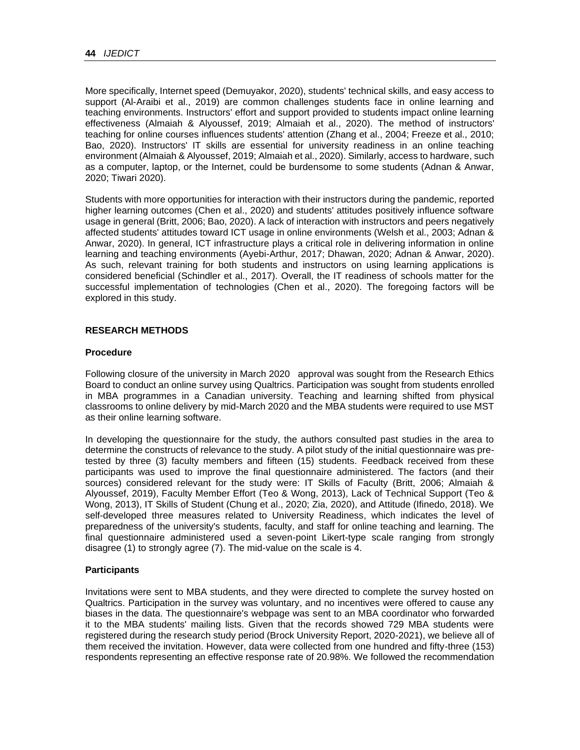More specifically, Internet speed (Demuyakor, 2020), students' technical skills, and easy access to support (Al-Araibi et al., 2019) are common challenges students face in online learning and teaching environments. Instructors' effort and support provided to students impact online learning effectiveness (Almaiah & Alyoussef, 2019; Almaiah et al., 2020). The method of instructors' teaching for online courses influences students' attention (Zhang et al., 2004; Freeze et al., 2010; Bao, 2020). Instructors' IT skills are essential for university readiness in an online teaching environment (Almaiah & Alyoussef, 2019; Almaiah et al., 2020). Similarly, access to hardware, such as a computer, laptop, or the Internet, could be burdensome to some students (Adnan & Anwar, 2020; Tiwari 2020).

Students with more opportunities for interaction with their instructors during the pandemic, reported higher learning outcomes (Chen et al., 2020) and students' attitudes positively influence software usage in general (Britt, 2006; Bao, 2020). A lack of interaction with instructors and peers negatively affected students' attitudes toward ICT usage in online environments (Welsh et al., 2003; Adnan & Anwar, 2020). In general, ICT infrastructure plays a critical role in delivering information in online learning and teaching environments (Ayebi-Arthur, 2017; Dhawan, 2020; Adnan & Anwar, 2020). As such, relevant training for both students and instructors on using learning applications is considered beneficial (Schindler et al., 2017). Overall, the IT readiness of schools matter for the successful implementation of technologies (Chen et al., 2020). The foregoing factors will be explored in this study.

# **RESEARCH METHODS**

## **Procedure**

Following closure of the university in March 2020 approval was sought from the Research Ethics Board to conduct an online survey using Qualtrics. Participation was sought from students enrolled in MBA programmes in a Canadian university. Teaching and learning shifted from physical classrooms to online delivery by mid-March 2020 and the MBA students were required to use MST as their online learning software.

In developing the questionnaire for the study, the authors consulted past studies in the area to determine the constructs of relevance to the study. A pilot study of the initial questionnaire was pretested by three (3) faculty members and fifteen (15) students. Feedback received from these participants was used to improve the final questionnaire administered. The factors (and their sources) considered relevant for the study were: IT Skills of Faculty (Britt, 2006; Almaiah & Alyoussef, 2019), Faculty Member Effort (Teo & Wong, 2013), Lack of Technical Support (Teo & Wong, 2013), IT Skills of Student (Chung et al., 2020; Zia, 2020), and Attitude (Ifinedo, 2018). We self-developed three measures related to University Readiness, which indicates the level of preparedness of the university's students, faculty, and staff for online teaching and learning. The final questionnaire administered used a seven-point Likert-type scale ranging from strongly disagree (1) to strongly agree (7). The mid-value on the scale is 4.

# **Participants**

Invitations were sent to MBA students, and they were directed to complete the survey hosted on Qualtrics. Participation in the survey was voluntary, and no incentives were offered to cause any biases in the data. The questionnaire's webpage was sent to an MBA coordinator who forwarded it to the MBA students' mailing lists. Given that the records showed 729 MBA students were registered during the research study period (Brock University Report, 2020-2021), we believe all of them received the invitation. However, data were collected from one hundred and fifty-three (153) respondents representing an effective response rate of 20.98%. We followed the recommendation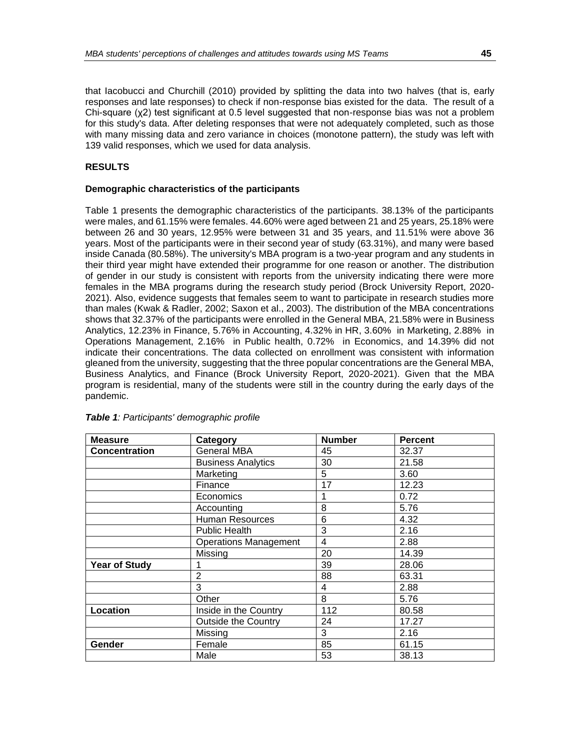that Iacobucci and Churchill (2010) provided by splitting the data into two halves (that is, early responses and late responses) to check if non-response bias existed for the data. The result of a Chi-square (χ2) test significant at 0.5 level suggested that non-response bias was not a problem for this study's data. After deleting responses that were not adequately completed, such as those with many missing data and zero variance in choices (monotone pattern), the study was left with 139 valid responses, which we used for data analysis.

## **RESULTS**

## **Demographic characteristics of the participants**

Table 1 presents the demographic characteristics of the participants. 38.13% of the participants were males, and 61.15% were females. 44.60% were aged between 21 and 25 years, 25.18% were between 26 and 30 years, 12.95% were between 31 and 35 years, and 11.51% were above 36 years. Most of the participants were in their second year of study (63.31%), and many were based inside Canada (80.58%). The university's MBA program is a two-year program and any students in their third year might have extended their programme for one reason or another. The distribution of gender in our study is consistent with reports from the university indicating there were more females in the MBA programs during the research study period (Brock University Report, 2020- 2021). Also, evidence suggests that females seem to want to participate in research studies more than males (Kwak & Radler, 2002; Saxon et al., 2003). The distribution of the MBA concentrations shows that 32.37% of the participants were enrolled in the General MBA, 21.58% were in Business Analytics, 12.23% in Finance, 5.76% in Accounting, 4.32% in HR, 3.60% in Marketing, 2.88% in Operations Management, 2.16% in Public health, 0.72% in Economics, and 14.39% did not indicate their concentrations. The data collected on enrollment was consistent with information gleaned from the university, suggesting that the three popular concentrations are the General MBA, Business Analytics, and Finance (Brock University Report, 2020-2021). Given that the MBA program is residential, many of the students were still in the country during the early days of the pandemic.

| <b>Measure</b>       | Category                     | <b>Number</b> | <b>Percent</b> |
|----------------------|------------------------------|---------------|----------------|
| <b>Concentration</b> | General MBA                  | 45            | 32.37          |
|                      | <b>Business Analytics</b>    | 30            | 21.58          |
|                      | Marketing                    | 5             | 3.60           |
|                      | Finance                      | 17            | 12.23          |
|                      | Economics                    |               | 0.72           |
|                      | Accounting                   | 8             | 5.76           |
|                      | Human Resources              | 6             | 4.32           |
|                      | <b>Public Health</b>         | 3             | 2.16           |
|                      | <b>Operations Management</b> | 4             | 2.88           |
|                      | Missing                      | 20            | 14.39          |
| <b>Year of Study</b> |                              | 39            | 28.06          |
|                      | $\overline{2}$               | 88            | 63.31          |
|                      | 3                            | 4             | 2.88           |
|                      | Other                        | 8             | 5.76           |
| Location             | Inside in the Country        | 112           | 80.58          |
|                      | Outside the Country          | 24            | 17.27          |
|                      | Missing                      | 3             | 2.16           |
| Gender               | Female                       | 85            | 61.15          |
|                      | Male                         | 53            | 38.13          |

#### *Table 1: Participants' demographic profile*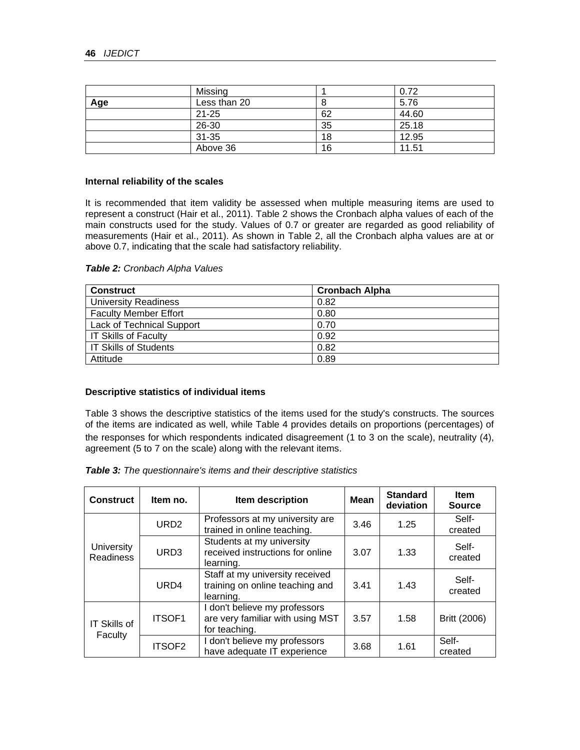|     | Missing      |    | 0.72  |  |
|-----|--------------|----|-------|--|
| Age | Less than 20 |    | 5.76  |  |
|     | 21-25        | 62 | 44.60 |  |
|     | 26-30        | 35 | 25.18 |  |
|     | $31 - 35$    | 18 | 12.95 |  |
|     | Above 36     | 16 | 11.51 |  |

#### **Internal reliability of the scales**

It is recommended that item validity be assessed when multiple measuring items are used to represent a construct (Hair et al., 2011). Table 2 shows the Cronbach alpha values of each of the main constructs used for the study. Values of 0.7 or greater are regarded as good reliability of measurements (Hair et al., 2011). As shown in Table 2, all the Cronbach alpha values are at or above 0.7, indicating that the scale had satisfactory reliability.

| <b>Construct</b>                 | <b>Cronbach Alpha</b> |
|----------------------------------|-----------------------|
| <b>University Readiness</b>      | 0.82                  |
| <b>Faculty Member Effort</b>     | 0.80                  |
| <b>Lack of Technical Support</b> | 0.70                  |
| <b>IT Skills of Faculty</b>      | 0.92                  |
| <b>IT Skills of Students</b>     | 0.82                  |
| Attitude                         | 0.89                  |

#### **Descriptive statistics of individual items**

Table 3 shows the descriptive statistics of the items used for the study's constructs. The sources of the items are indicated as well, while Table 4 provides details on proportions (percentages) of the responses for which respondents indicated disagreement (1 to 3 on the scale), neutrality (4), agreement (5 to 7 on the scale) along with the relevant items.

|  | Table 3: The questionnaire's items and their descriptive statistics |  |  |  |
|--|---------------------------------------------------------------------|--|--|--|
|--|---------------------------------------------------------------------|--|--|--|

| <b>Construct</b>               | Item no.         | Item description                                                                   | <b>Mean</b> | <b>Standard</b><br>deviation | <b>Item</b><br><b>Source</b> |
|--------------------------------|------------------|------------------------------------------------------------------------------------|-------------|------------------------------|------------------------------|
|                                | URD <sub>2</sub> | Professors at my university are<br>trained in online teaching.                     | 3.46        | 1.25                         | Self-<br>created             |
| University<br><b>Readiness</b> | URD <sub>3</sub> | Students at my university<br>received instructions for online<br>learning.         | 3.07        | 1.33                         | Self-<br>created             |
|                                | URD4             | Staff at my university received<br>training on online teaching and<br>learning.    | 3.41        | 1.43                         | Self-<br>created             |
| <b>IT Skills of</b>            | ITSOF1           | I don't believe my professors<br>are very familiar with using MST<br>for teaching. | 3.57        | 1.58                         | Britt (2006)                 |
| Faculty                        | ITSOF2           | I don't believe my professors<br>have adequate IT experience                       | 3.68        | 1.61                         | Self-<br>created             |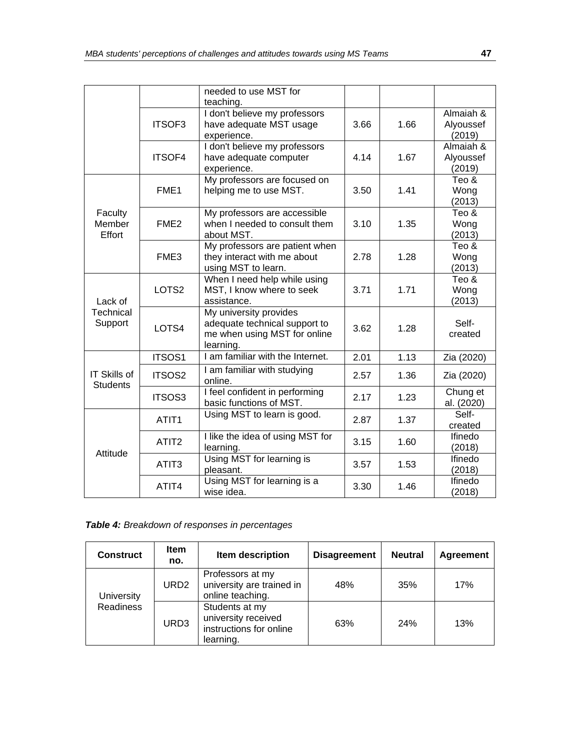|                                        |                   | needed to use MST for<br>teaching.                                                                   |      |      |                                  |
|----------------------------------------|-------------------|------------------------------------------------------------------------------------------------------|------|------|----------------------------------|
|                                        | ITSOF3            | I don't believe my professors<br>have adequate MST usage<br>experience.                              | 3.66 | 1.66 | Almaiah &<br>Alyoussef<br>(2019) |
|                                        | ITSOF4            | I don't believe my professors<br>have adequate computer<br>experience.                               | 4.14 | 1.67 | Almaiah &<br>Alyoussef<br>(2019) |
|                                        | FME <sub>1</sub>  | My professors are focused on<br>helping me to use MST.                                               | 3.50 | 1.41 | Teo &<br>Wong<br>(2013)          |
| Faculty<br>Member<br>Effort            | FME <sub>2</sub>  | My professors are accessible<br>when I needed to consult them<br>about MST.                          | 3.10 | 1.35 | Teo &<br>Wong<br>(2013)          |
|                                        | FME3              | My professors are patient when<br>they interact with me about<br>using MST to learn.                 | 2.78 | 1.28 | Teo &<br>Wong<br>(2013)          |
| Lack of<br>Technical<br>Support        | LOTS2             | When I need help while using<br>MST, I know where to seek<br>assistance.                             | 3.71 | 1.71 | Teo &<br>Wong<br>(2013)          |
|                                        | LOTS4             | My university provides<br>adequate technical support to<br>me when using MST for online<br>learning. | 3.62 | 1.28 | Self-<br>created                 |
|                                        | ITSOS1            | I am familiar with the Internet.                                                                     | 2.01 | 1.13 | Zia (2020)                       |
| <b>IT Skills of</b><br><b>Students</b> | ITSOS2            | I am familiar with studying<br>online.                                                               | 2.57 | 1.36 | Zia (2020)                       |
|                                        | <b>ITSOS3</b>     | I feel confident in performing<br>basic functions of MST.                                            | 2.17 | 1.23 | Chung et<br>al. (2020)           |
|                                        | ATIT <sub>1</sub> | Using MST to learn is good.                                                                          | 2.87 | 1.37 | Self-<br>created                 |
| Attitude                               | ATIT <sub>2</sub> | I like the idea of using MST for<br>learning.                                                        | 3.15 | 1.60 | Ifinedo<br>(2018)                |
|                                        | ATIT <sub>3</sub> | Using MST for learning is<br>pleasant.                                                               | 3.57 | 1.53 | Ifinedo<br>(2018)                |
|                                        | ATIT4             | Using MST for learning is a<br>wise idea.                                                            | 3.30 | 1.46 | Ifinedo<br>(2018)                |

*Table 4: Breakdown of responses in percentages*

| <b>Construct</b> | <b>Item</b><br>no. | Item description                                                              | <b>Disagreement</b> | <b>Neutral</b> | <b>Agreement</b> |
|------------------|--------------------|-------------------------------------------------------------------------------|---------------------|----------------|------------------|
| University       | URD <sub>2</sub>   | Professors at my<br>university are trained in<br>online teaching.             | 48%                 | 35%            | 17%              |
| <b>Readiness</b> | URD3               | Students at my<br>university received<br>instructions for online<br>learning. | 63%                 | 24%            | 13%              |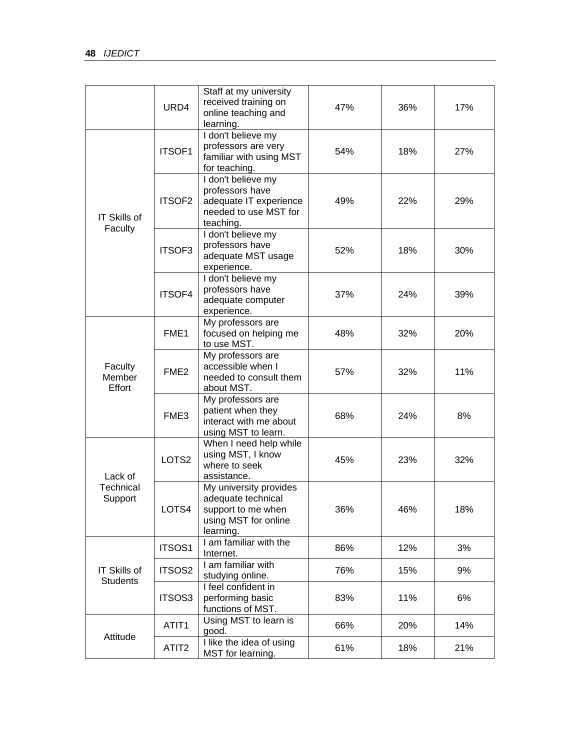|                                                                                                                              | URD4                                                                                                                                                                                                                                                                                                                                                                                                                                                                                                                                                                                                                                                                             | Staff at my university<br>received training on<br>online teaching and                                 | 47% | 36%                                                         | 17% |
|------------------------------------------------------------------------------------------------------------------------------|----------------------------------------------------------------------------------------------------------------------------------------------------------------------------------------------------------------------------------------------------------------------------------------------------------------------------------------------------------------------------------------------------------------------------------------------------------------------------------------------------------------------------------------------------------------------------------------------------------------------------------------------------------------------------------|-------------------------------------------------------------------------------------------------------|-----|-------------------------------------------------------------|-----|
|                                                                                                                              | ITSOF1                                                                                                                                                                                                                                                                                                                                                                                                                                                                                                                                                                                                                                                                           | I don't believe my<br>professors are very<br>familiar with using MST<br>for teaching.                 | 54% | 18%                                                         | 27% |
| IT Skills of<br>Faculty<br>Faculty<br>Member<br>Effort<br>Lack of<br>Technical<br>Support<br>IT Skills of<br><b>Students</b> | ITSOF <sub>2</sub>                                                                                                                                                                                                                                                                                                                                                                                                                                                                                                                                                                                                                                                               | I don't believe my<br>professors have<br>adequate IT experience<br>needed to use MST for<br>teaching. | 49% | 22%                                                         | 29% |
|                                                                                                                              | ITSOF3                                                                                                                                                                                                                                                                                                                                                                                                                                                                                                                                                                                                                                                                           | I don't believe my<br>professors have<br>adequate MST usage<br>experience.                            | 52% | 18%<br>24%<br>32%<br>32%<br>24%<br>23%<br>46%<br>12%<br>15% | 30% |
| <b>ITSOF4</b><br>FME1<br>FME <sub>2</sub>                                                                                    | I don't believe my<br>professors have<br>adequate computer<br>experience.                                                                                                                                                                                                                                                                                                                                                                                                                                                                                                                                                                                                        | 37%                                                                                                   |     | 39%                                                         |     |
|                                                                                                                              |                                                                                                                                                                                                                                                                                                                                                                                                                                                                                                                                                                                                                                                                                  | My professors are<br>focused on helping me<br>to use MST.                                             | 48% |                                                             | 20% |
|                                                                                                                              |                                                                                                                                                                                                                                                                                                                                                                                                                                                                                                                                                                                                                                                                                  | My professors are<br>accessible when I<br>needed to consult them<br>about MST.                        | 57% |                                                             | 11% |
|                                                                                                                              | learning.<br>My professors are<br>patient when they<br>FME3<br>68%<br>interact with me about<br>using MST to learn.<br>When I need help while<br>using MST, I know<br>LOTS2<br>45%<br>where to seek<br>assistance.<br>My university provides<br>adequate technical<br>36%<br>LOTS4<br>support to me when<br>using MST for online<br>learning.<br>I am familiar with the<br>ITSOS1<br>86%<br>Internet.<br>I am familiar with<br>ITSOS2<br>76%<br>studying online.<br>I feel confident in<br>ITSOS3<br>performing basic<br>83%<br>functions of MST.<br>Using MST to learn is<br>ATIT1<br>66%<br>good.<br>I like the idea of using<br>ATIT <sub>2</sub><br>61%<br>MST for learning. |                                                                                                       | 8%  |                                                             |     |
|                                                                                                                              |                                                                                                                                                                                                                                                                                                                                                                                                                                                                                                                                                                                                                                                                                  |                                                                                                       |     |                                                             | 32% |
|                                                                                                                              |                                                                                                                                                                                                                                                                                                                                                                                                                                                                                                                                                                                                                                                                                  |                                                                                                       |     |                                                             | 18% |
|                                                                                                                              |                                                                                                                                                                                                                                                                                                                                                                                                                                                                                                                                                                                                                                                                                  |                                                                                                       |     |                                                             | 3%  |
|                                                                                                                              |                                                                                                                                                                                                                                                                                                                                                                                                                                                                                                                                                                                                                                                                                  |                                                                                                       |     |                                                             | 9%  |
|                                                                                                                              |                                                                                                                                                                                                                                                                                                                                                                                                                                                                                                                                                                                                                                                                                  |                                                                                                       |     | 11%                                                         | 6%  |
|                                                                                                                              |                                                                                                                                                                                                                                                                                                                                                                                                                                                                                                                                                                                                                                                                                  |                                                                                                       |     | 20%                                                         | 14% |
| Attitude                                                                                                                     |                                                                                                                                                                                                                                                                                                                                                                                                                                                                                                                                                                                                                                                                                  |                                                                                                       |     | 18%                                                         | 21% |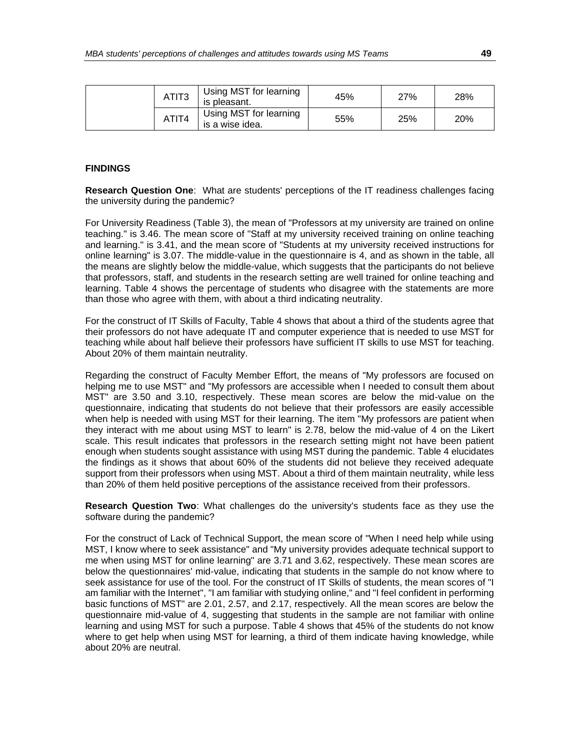|  | ATIT <sub>3</sub> | Using MST for learning<br>is pleasant.    | 45% | <b>27%</b> | 28% |
|--|-------------------|-------------------------------------------|-----|------------|-----|
|  | ATIT4             | Using MST for learning<br>is a wise idea. | 55% | 25%        | 20% |

#### **FINDINGS**

**Research Question One**: What are students' perceptions of the IT readiness challenges facing the university during the pandemic?

For University Readiness (Table 3), the mean of "Professors at my university are trained on online teaching." is 3.46. The mean score of "Staff at my university received training on online teaching and learning." is 3.41, and the mean score of "Students at my university received instructions for online learning" is 3.07. The middle-value in the questionnaire is 4, and as shown in the table, all the means are slightly below the middle-value, which suggests that the participants do not believe that professors, staff, and students in the research setting are well trained for online teaching and learning. Table 4 shows the percentage of students who disagree with the statements are more than those who agree with them, with about a third indicating neutrality.

For the construct of IT Skills of Faculty, Table 4 shows that about a third of the students agree that their professors do not have adequate IT and computer experience that is needed to use MST for teaching while about half believe their professors have sufficient IT skills to use MST for teaching. About 20% of them maintain neutrality.

Regarding the construct of Faculty Member Effort, the means of "My professors are focused on helping me to use MST" and "My professors are accessible when I needed to consult them about MST" are 3.50 and 3.10, respectively. These mean scores are below the mid-value on the questionnaire, indicating that students do not believe that their professors are easily accessible when help is needed with using MST for their learning. The item "My professors are patient when they interact with me about using MST to learn" is 2.78, below the mid-value of 4 on the Likert scale. This result indicates that professors in the research setting might not have been patient enough when students sought assistance with using MST during the pandemic. Table 4 elucidates the findings as it shows that about 60% of the students did not believe they received adequate support from their professors when using MST. About a third of them maintain neutrality, while less than 20% of them held positive perceptions of the assistance received from their professors.

**Research Question Two**: What challenges do the university's students face as they use the software during the pandemic?

For the construct of Lack of Technical Support, the mean score of "When I need help while using MST, I know where to seek assistance" and "My university provides adequate technical support to me when using MST for online learning" are 3.71 and 3.62, respectively. These mean scores are below the questionnaires' mid-value, indicating that students in the sample do not know where to seek assistance for use of the tool. For the construct of IT Skills of students, the mean scores of "I am familiar with the Internet", "I am familiar with studying online," and "I feel confident in performing basic functions of MST" are 2.01, 2.57, and 2.17, respectively. All the mean scores are below the questionnaire mid-value of 4, suggesting that students in the sample are not familiar with online learning and using MST for such a purpose. Table 4 shows that 45% of the students do not know where to get help when using MST for learning, a third of them indicate having knowledge, while about 20% are neutral.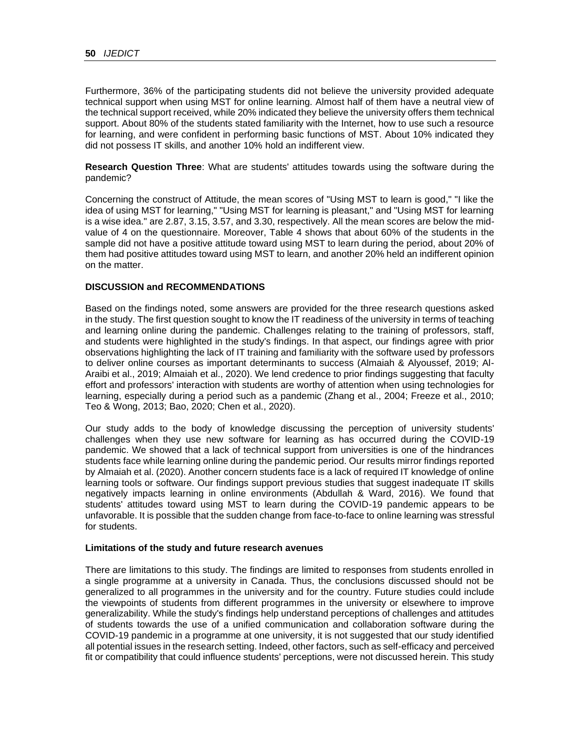Furthermore, 36% of the participating students did not believe the university provided adequate technical support when using MST for online learning. Almost half of them have a neutral view of the technical support received, while 20% indicated they believe the university offers them technical support. About 80% of the students stated familiarity with the Internet, how to use such a resource for learning, and were confident in performing basic functions of MST. About 10% indicated they did not possess IT skills, and another 10% hold an indifferent view.

**Research Question Three**: What are students' attitudes towards using the software during the pandemic?

Concerning the construct of Attitude, the mean scores of "Using MST to learn is good," "I like the idea of using MST for learning," "Using MST for learning is pleasant," and "Using MST for learning is a wise idea." are 2.87, 3.15, 3.57, and 3.30, respectively. All the mean scores are below the midvalue of 4 on the questionnaire. Moreover, Table 4 shows that about 60% of the students in the sample did not have a positive attitude toward using MST to learn during the period, about 20% of them had positive attitudes toward using MST to learn, and another 20% held an indifferent opinion on the matter.

## **DISCUSSION and RECOMMENDATIONS**

Based on the findings noted, some answers are provided for the three research questions asked in the study. The first question sought to know the IT readiness of the university in terms of teaching and learning online during the pandemic. Challenges relating to the training of professors, staff, and students were highlighted in the study's findings. In that aspect, our findings agree with prior observations highlighting the lack of IT training and familiarity with the software used by professors to deliver online courses as important determinants to success (Almaiah & Alyoussef, 2019; Al-Araibi et al., 2019; Almaiah et al., 2020). We lend credence to prior findings suggesting that faculty effort and professors' interaction with students are worthy of attention when using technologies for learning, especially during a period such as a pandemic (Zhang et al., 2004; Freeze et al., 2010; Teo & Wong, 2013; Bao, 2020; Chen et al., 2020).

Our study adds to the body of knowledge discussing the perception of university students' challenges when they use new software for learning as has occurred during the COVID-19 pandemic. We showed that a lack of technical support from universities is one of the hindrances students face while learning online during the pandemic period. Our results mirror findings reported by Almaiah et al. (2020). Another concern students face is a lack of required IT knowledge of online learning tools or software. Our findings support previous studies that suggest inadequate IT skills negatively impacts learning in online environments (Abdullah & Ward, 2016). We found that students' attitudes toward using MST to learn during the COVID-19 pandemic appears to be unfavorable. It is possible that the sudden change from face-to-face to online learning was stressful for students.

#### **Limitations of the study and future research avenues**

There are limitations to this study. The findings are limited to responses from students enrolled in a single programme at a university in Canada. Thus, the conclusions discussed should not be generalized to all programmes in the university and for the country. Future studies could include the viewpoints of students from different programmes in the university or elsewhere to improve generalizability. While the study's findings help understand perceptions of challenges and attitudes of students towards the use of a unified communication and collaboration software during the COVID-19 pandemic in a programme at one university, it is not suggested that our study identified all potential issues in the research setting. Indeed, other factors, such as self-efficacy and perceived fit or compatibility that could influence students' perceptions, were not discussed herein. This study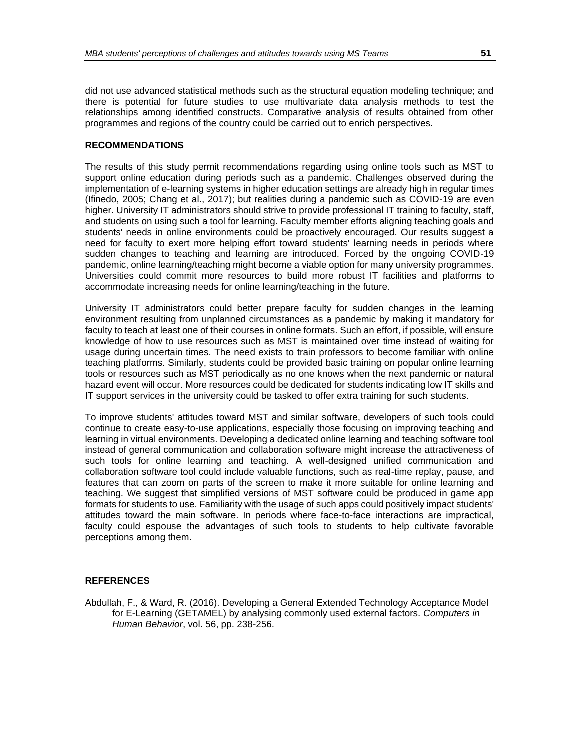did not use advanced statistical methods such as the structural equation modeling technique; and there is potential for future studies to use multivariate data analysis methods to test the relationships among identified constructs. Comparative analysis of results obtained from other programmes and regions of the country could be carried out to enrich perspectives.

### **RECOMMENDATIONS**

The results of this study permit recommendations regarding using online tools such as MST to support online education during periods such as a pandemic. Challenges observed during the implementation of e-learning systems in higher education settings are already high in regular times (Ifinedo, 2005; Chang et al., 2017); but realities during a pandemic such as COVID-19 are even higher. University IT administrators should strive to provide professional IT training to faculty, staff, and students on using such a tool for learning. Faculty member efforts aligning teaching goals and students' needs in online environments could be proactively encouraged. Our results suggest a need for faculty to exert more helping effort toward students' learning needs in periods where sudden changes to teaching and learning are introduced. Forced by the ongoing COVID-19 pandemic, online learning/teaching might become a viable option for many university programmes. Universities could commit more resources to build more robust IT facilities and platforms to accommodate increasing needs for online learning/teaching in the future.

University IT administrators could better prepare faculty for sudden changes in the learning environment resulting from unplanned circumstances as a pandemic by making it mandatory for faculty to teach at least one of their courses in online formats. Such an effort, if possible, will ensure knowledge of how to use resources such as MST is maintained over time instead of waiting for usage during uncertain times. The need exists to train professors to become familiar with online teaching platforms. Similarly, students could be provided basic training on popular online learning tools or resources such as MST periodically as no one knows when the next pandemic or natural hazard event will occur. More resources could be dedicated for students indicating low IT skills and IT support services in the university could be tasked to offer extra training for such students.

To improve students' attitudes toward MST and similar software, developers of such tools could continue to create easy-to-use applications, especially those focusing on improving teaching and learning in virtual environments. Developing a dedicated online learning and teaching software tool instead of general communication and collaboration software might increase the attractiveness of such tools for online learning and teaching. A well-designed unified communication and collaboration software tool could include valuable functions, such as real-time replay, pause, and features that can zoom on parts of the screen to make it more suitable for online learning and teaching. We suggest that simplified versions of MST software could be produced in game app formats for students to use. Familiarity with the usage of such apps could positively impact students' attitudes toward the main software. In periods where face-to-face interactions are impractical, faculty could espouse the advantages of such tools to students to help cultivate favorable perceptions among them.

# **REFERENCES**

Abdullah, F., & Ward, R. (2016). Developing a General Extended Technology Acceptance Model for E-Learning (GETAMEL) by analysing commonly used external factors. *Computers in Human Behavior*, vol. 56, pp. 238-256.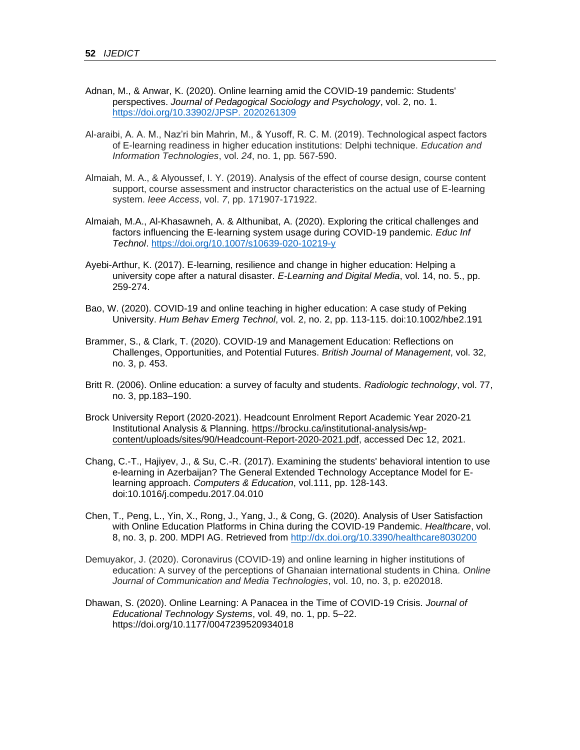- Adnan, M., & Anwar, K. (2020). Online learning amid the COVID-19 pandemic: Students' perspectives. *Journal of Pedagogical Sociology and Psychology*, vol. 2, no. 1. [https://doi.org/10.33902/JPSP. 2020261309](https://doi.org/10.33902/JPSP.%202020261309)
- Al-araibi, A. A. M., Naz'ri bin Mahrin, M., & Yusoff, R. C. M. (2019). Technological aspect factors of E-learning readiness in higher education institutions: Delphi technique. *Education and Information Technologies*, vol. *24*, no. 1, pp*.* 567-590.
- Almaiah, M. A., & Alyoussef, I. Y. (2019). Analysis of the effect of course design, course content support, course assessment and instructor characteristics on the actual use of E-learning system. *Ieee Access*, vol. *7*, pp. 171907-171922.
- Almaiah, M.A., Al-Khasawneh, A. & Althunibat, A. (2020). Exploring the critical challenges and factors influencing the E-learning system usage during COVID-19 pandemic. *Educ Inf Technol*.<https://doi.org/10.1007/s10639-020-10219-y>
- Ayebi-Arthur, K. (2017). E-learning, resilience and change in higher education: Helping a university cope after a natural disaster. *E-Learning and Digital Media*, vol. 14, no. 5., pp. 259-274.
- Bao, W. (2020). COVID-19 and online teaching in higher education: A case study of Peking University. *Hum Behav Emerg Technol*, vol. 2, no. 2, pp. 113-115. doi:10.1002/hbe2.191
- Brammer, S., & Clark, T. (2020). COVID‐19 and Management Education: Reflections on Challenges, Opportunities, and Potential Futures. *British Journal of Management*, vol. 32, no. 3, p. 453.
- Britt R. (2006). Online education: a survey of faculty and students. *Radiologic technology*, vol. 77, no. 3, pp.183–190.
- Brock University Report (2020-2021). Headcount Enrolment Report Academic Year 2020-21 Institutional Analysis & Planning. [https://brocku.ca/institutional-analysis/wp](https://brocku.ca/institutional-analysis/wp-content/uploads/sites/90/Headcount-Report-2020-2021.pdf)[content/uploads/sites/90/Headcount-Report-2020-2021.pdf,](https://brocku.ca/institutional-analysis/wp-content/uploads/sites/90/Headcount-Report-2020-2021.pdf) accessed Dec 12, 2021.
- Chang, C.-T., Hajiyev, J., & Su, C.-R. (2017). Examining the students' behavioral intention to use e-learning in Azerbaijan? The General Extended Technology Acceptance Model for Elearning approach. *Computers & Education*, vol.111, pp. 128-143. doi:10.1016/j.compedu.2017.04.010
- Chen, T., Peng, L., Yin, X., Rong, J., Yang, J., & Cong, G. (2020). Analysis of User Satisfaction with Online Education Platforms in China during the COVID-19 Pandemic. *Healthcare*, vol. 8, no. 3, p. 200. MDPI AG. Retrieved from<http://dx.doi.org/10.3390/healthcare8030200>
- Demuyakor, J. (2020). Coronavirus (COVID-19) and online learning in higher institutions of education: A survey of the perceptions of Ghanaian international students in China. *Online Journal of Communication and Media Technologies*, vol. 10, no. 3, p. e202018.
- Dhawan, S. (2020). Online Learning: A Panacea in the Time of COVID-19 Crisis. *Journal of Educational Technology Systems*, vol. 49, no. 1, pp. 5–22. https://doi.org/10.1177/0047239520934018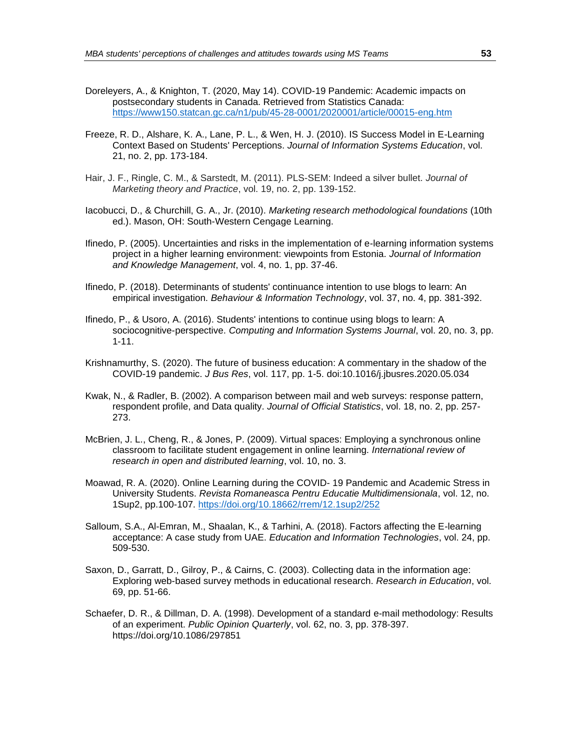- Doreleyers, A., & Knighton, T. (2020, May 14). COVID-19 Pandemic: Academic impacts on postsecondary students in Canada. Retrieved from Statistics Canada: <https://www150.statcan.gc.ca/n1/pub/45-28-0001/2020001/article/00015-eng.htm>
- Freeze, R. D., Alshare, K. A., Lane, P. L., & Wen, H. J. (2010). IS Success Model in E-Learning Context Based on Students' Perceptions. *Journal of Information Systems Education*, vol. 21, no. 2, pp. 173-184.
- Hair, J. F., Ringle, C. M., & Sarstedt, M. (2011). PLS-SEM: Indeed a silver bullet. *Journal of Marketing theory and Practice*, vol. 19, no. 2, pp. 139-152.
- Iacobucci, D., & Churchill, G. A., Jr. (2010). *Marketing research methodological foundations* (10th ed.). Mason, OH: South-Western Cengage Learning.
- Ifinedo, P. (2005). Uncertainties and risks in the implementation of e-learning information systems project in a higher learning environment: viewpoints from Estonia. *Journal of Information and Knowledge Management*, vol. 4, no. 1, pp. 37-46.
- Ifinedo, P. (2018). Determinants of students' continuance intention to use blogs to learn: An empirical investigation. *Behaviour & Information Technology*, vol. 37, no. 4, pp. 381-392.
- Ifinedo, P., & Usoro, A. (2016). Students' intentions to continue using blogs to learn: A sociocognitive-perspective. *Computing and Information Systems Journal*, vol. 20, no. 3, pp. 1-11.
- Krishnamurthy, S. (2020). The future of business education: A commentary in the shadow of the COVID-19 pandemic. *J Bus Res*, vol. 117, pp. 1-5. doi:10.1016/j.jbusres.2020.05.034
- Kwak, N., & Radler, B. (2002). A comparison between mail and web surveys: response pattern, respondent profile, and Data quality. *Journal of Official Statistics*, vol. 18, no. 2, pp. 257- 273.
- McBrien, J. L., Cheng, R., & Jones, P. (2009). Virtual spaces: Employing a synchronous online classroom to facilitate student engagement in online learning. *International review of research in open and distributed learning*, vol. 10, no. 3.
- Moawad, R. A. (2020). Online Learning during the COVID- 19 Pandemic and Academic Stress in University Students. *Revista Romaneasca Pentru Educatie Multidimensionala*, vol. 12, no. 1Sup2, pp.100-107.<https://doi.org/10.18662/rrem/12.1sup2/252>
- Salloum, S.A., Al-Emran, M., Shaalan, K., & Tarhini, A. (2018). Factors affecting the E-learning acceptance: A case study from UAE. *Education and Information Technologies*, vol. 24, pp. 509-530.
- Saxon, D., Garratt, D., Gilroy, P., & Cairns, C. (2003). Collecting data in the information age: Exploring web-based survey methods in educational research. *Research in Education*, vol. 69, pp. 51-66.
- Schaefer, D. R., & Dillman, D. A. (1998). Development of a standard e-mail methodology: Results of an experiment. *Public Opinion Quarterly*, vol. 62, no. 3, pp. 378-397. https://doi.org/10.1086/297851